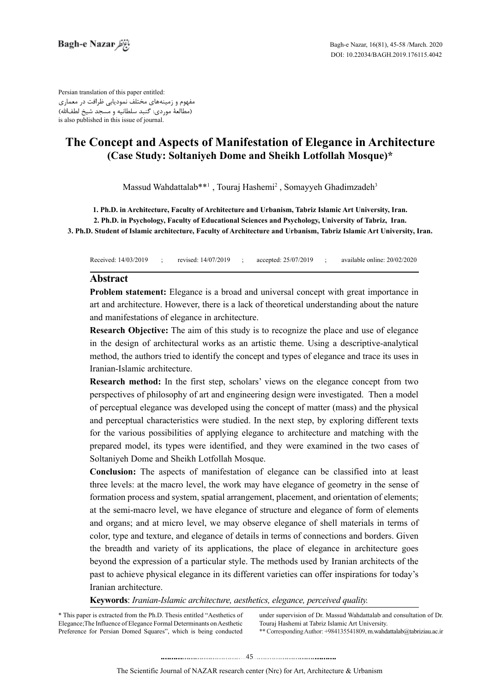Persian translation of this paper entitled: مفهوم و زمینههای مختلف نمودیابی ظرافت در معماری (مطالعۀ موردی: گنبد سلطانیه و مسجد شیخ لطفالله) is also published in this issue of journal.

# **The Concept and Aspects of Manifestation of Elegance in Architecture** (Case Study: Soltaniyeh Dome and Sheikh Lotfollah Mosque)\*

Massud Wahdattalab\*\*<sup>1</sup>, Touraj Hashemi<sup>2</sup>, Somayyeh Ghadimzadeh<sup>3</sup>

1. Ph.D. in Architecture, Faculty of Architecture and Urbanism, Tabriz Islamic Art University, Iran.

2. Ph.D. in Psychology, Faculty of Educational Sciences and Psychology, University of Tabriz, Iran. **3. Ph.D. Student of Islamic architecture, Faculty of Architecture and Urbanism, Tabriz Islamic Art University, Iran.** 

Received: 14/03/2019 ; revised: 14/07/2019 ; accepted: 25/07/2019 ; available online: 20/02/2020

### **Abstract**

**Problem statement:** Elegance is a broad and universal concept with great importance in art and architecture. However, there is a lack of theoretical understanding about the nature and manifestations of elegance in architecture.

**Research Objective:** The aim of this study is to recognize the place and use of elegance in the design of architectural works as an artistic theme. Using a descriptive-analytical method, the authors tried to identify the concept and types of elegance and trace its uses in Iranian-Islamic architecture.

**Research method:** In the first step, scholars' views on the elegance concept from two perspectives of philosophy of art and engineering design were investigated. Then a model of perceptual elegance was developed using the concept of matter (mass) and the physical and perceptual characteristics were studied. In the next step, by exploring different texts for the various possibilities of applying elegance to architecture and matching with the prepared model, its types were identified, and they were examined in the two cases of Soltaniyeh Dome and Sheikh Lotfollah Mosque.

**Conclusion:** The aspects of manifestation of elegance can be classified into at least three levels; at the macro level, the work may have elegance of geometry in the sense of formation process and system, spatial arrangement, placement, and orientation of elements; at the semi-macro level, we have elegance of structure and elegance of form of elements and organs; and at micro level, we may observe elegance of shell materials in terms of color, type and texture, and elegance of details in terms of connections and borders. Given the breadth and variety of its applications, the place of elegance in architecture goes beyond the expression of a particular style. The methods used by Iranian architects of the past to achieve physical elegance in its different varieties can offer inspirations for today's Iranian architecture.

**Keywords**: *Iranian-Islamic architecture, aesthetics, elegance, perceived quality.* 

\* This paper is extracted from the Ph.D. Thesis entitled "Aesthetics of Elegance; The Influence of Elegance Formal Determinants on Aesthetic Preference for Persian Domed Squares", which is being conducted under supervision of Dr. Massud Wahdattalab and consultation of Dr. Touraj Hashemi at Tabriz Islamic Art University.

\*\* Corresponding Author: +984135541809, m.wahdattalab@tabriziau.ac.ir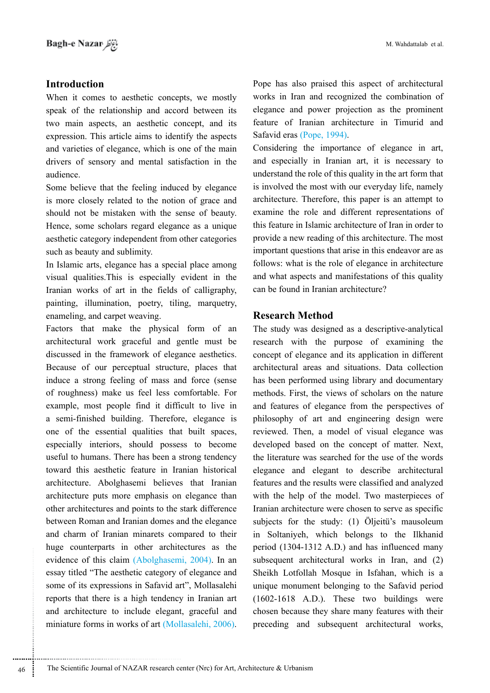## **Introduction**

When it comes to aesthetic concepts, we mostly speak of the relationship and accord between its two main aspects, an aesthetic concept, and its expression. This article aims to identify the aspects. and varieties of elegance, which is one of the main drivers of sensory and mental satisfaction in the .audience

Some believe that the feeling induced by elegance is more closely related to the notion of grace and should not be mistaken with the sense of beauty. Hence, some scholars regard elegance as a unique aesthetic category independent from other categories such as beauty and sublimity.

In Islamic arts, elegance has a special place among visual qualities. This is especially evident in the Iranian works of art in the fields of calligraphy, painting, illumination, poetry, tiling, marquetry, enameling, and carpet weaving.

Factors that make the physical form of an architectural work graceful and gentle must be discussed in the framework of elegance aesthetics. Because of our perceptual structure, places that induce a strong feeling of mass and force (sense of roughness) make us feel less comfortable. For example, most people find it difficult to live in a semi-finished building. Therefore, elegance is one of the essential qualities that built spaces, especially interiors, should possess to become useful to humans. There has been a strong tendency toward this aesthetic feature in Iranian historical architecture. Abolghasemi believes that Iranian architecture puts more emphasis on elegance than other architectures and points to the stark difference between Roman and Iranian domes and the elegance and charm of Iranian minarets compared to their huge counterparts in other architectures as the evidence of this claim (Abolghasemi, 2004). In an essay titled "The aesthetic category of elegance and some of its expressions in Safavid art", Mollasalehi reports that there is a high tendency in Iranian art and architecture to include elegant, graceful and miniature forms in works of art (Mollasalehi, 2006).

............................................................

Pope has also praised this aspect of architectural works in Iran and recognized the combination of elegance and power projection as the prominent feature of Iranian architecture in Timurid and Safavid eras (Pope, 1994).

Considering the importance of elegance in art, and especially in Iranian art, it is necessary to understand the role of this quality in the art form that is involved the most with our everyday life, namely architecture. Therefore, this paper is an attempt to examine the role and different representations of this feature in Islamic architecture of Iran in order to provide a new reading of this architecture. The most important questions that arise in this endeavor are as follows: what is the role of elegance in architecture and what aspects and manifestations of this quality can be found in Iranian architecture?

## **Research Method**

The study was designed as a descriptive-analytical research with the purpose of examining the concept of elegance and its application in different architectural areas and situations. Data collection has been performed using library and documentary methods. First, the views of scholars on the nature and features of elegance from the perspectives of philosophy of art and engineering design were reviewed. Then, a model of visual elegance was developed based on the concept of matter. Next, the literature was searched for the use of the words elegance and elegant to describe architectural features and the results were classified and analyzed with the help of the model. Two masterpieces of Iranian architecture were chosen to serve as specific subjects for the study: (1) Öljeitü's mausoleum in Soltaniyeh, which belongs to the Ilkhanid period  $(1304-1312 \text{ A.D.})$  and has influenced many subsequent architectural works in Iran, and  $(2)$ Sheikh Lotfollah Mosque in Isfahan, which is a unique monument belonging to the Safavid period  $(1602-1618$  A.D.). These two buildings were chosen because they share many features with their preceding and subsequent architectural works,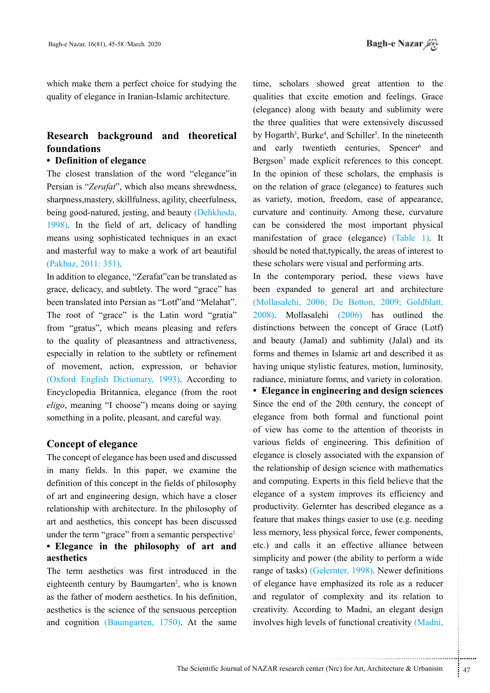which make them a perfect choice for studying the quality of elegance in Iranian-Islamic architecture.

# **Research background and theoretical foundations**

## **• Definition of elegance**

The closest translation of the word "elegance"in Persian is "*Zerafat*", which also means shrewdness. sharpness, mastery, skillfulness, agility, cheerfulness, being good-natured, jesting, and beauty (Dehkhoda, 1998). In the field of art, delicacy of handling means using sophisticated techniques in an exact and masterful way to make a work of art beautiful (Pakbaz, 2011: 351).

In addition to elegance, "Zerafat" can be translated as grace, delicacy, and subtlety. The word "grace" has been translated into Persian as "Lotf" and "Melahat". The root of "grace" is the Latin word "gratia" from "gratus", which means pleasing and refers to the quality of pleasantness and attractiveness, especially in relation to the subtlety or refinement of movement, action, expression, or behavior (Oxford English Dictionary, 1993). According to Encyclopedia Britannica, elegance (from the root *eligo*, meaning "I choose") means doing or saying something in a polite, pleasant, and careful way.

### **Concept of elegance**

The concept of elegance has been used and discussed in many fields. In this paper, we examine the definition of this concept in the fields of philosophy of art and engineering design, which have a closer relationship with architecture. In the philosophy of art and aesthetics, this concept has been discussed under the term "grace" from a semantic perspective<sup>1</sup> **• Elegance in the philosophy of art and aesthetics**

The term aesthetics was first introduced in the eighteenth century by Baumgarten<sup>2</sup>, who is known as the father of modern aesthetics. In his definition, aesthetics is the science of the sensuous perception and cognition (Baumgarten, 1750). At the same

time, scholars showed great attention to the qualities that excite emotion and feelings. Grace (elegance) along with beauty and sublimity were the three qualities that were extensively discussed by Hogarth<sup>3</sup>, Burke<sup>4</sup>, and Schiller<sup>5</sup>. In the nineteenth and early twentieth centuries, Spencer<sup>6</sup> and Bergson<sup>7</sup> made explicit references to this concept. In the opinion of these scholars, the emphasis is on the relation of grace (elegance) to features such as variety, motion, freedom, ease of appearance, curvature and continuity. Among these, curvature can be considered the most important physical manifestation of grace (elegance) (Table 1). It should be noted that, typically, the areas of interest to these scholars were visual and performing arts.

In the contemporary period, these views have been expanded to general art and architecture (Mollasalehi, 2006; De Botton, 2009; Goldblatt,  $2008$ ). Mollasalehi  $(2006)$  has outlined the distinctions between the concept of Grace (Lotf) and beauty (Jamal) and sublimity (Jalal) and its forms and themes in Islamic art and described it as having unique stylistic features, motion, luminosity, radiance, miniature forms, and variety in coloration.

power (the ability to perform a wide<br>
(Gelernter, 1998). Newer definitions<br>
ve emphasized its role as a reducer<br>
of complexity and its relation to<br>
ording to Madni, an elegant design<br>
evels of functional creativity (Madni, **• Elegance in engineering and design sciences** Since the end of the 20th century, the concept of elegance from both formal and functional point of view has come to the attention of theorists in various fields of engineering. This definition of elegance is closely associated with the expansion of the relationship of design science with mathematics and computing. Experts in this field believe that the elegance of a system improves its efficiency and productivity. Gelernter has described elegance as a feature that makes things easier to use (e.g. needing less memory, less physical force, fewer components, etc.) and calls it an effective alliance between simplicity and power (the ability to perform a wide range of tasks) (Gelernter, 1998). Newer definitions of elegance have emphasized its role as a reducer and regulator of complexity and its relation to creativity. According to Madni, an elegant design involves high levels of functional creativity (Madni,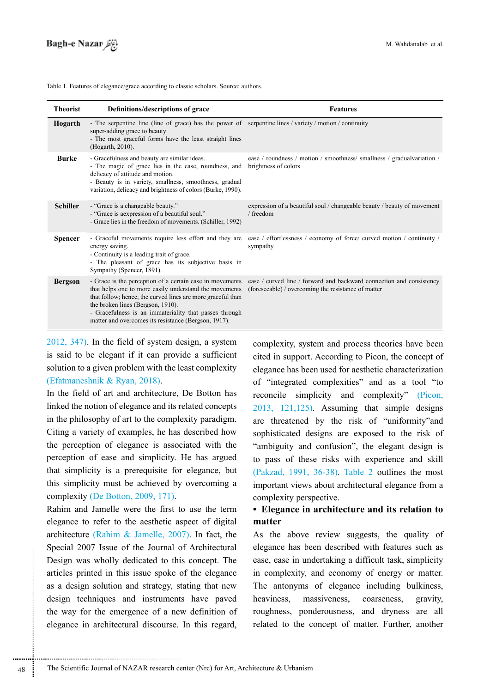| <b>Theorist</b> | Definitions/descriptions of grace                                                                                                                                                                                                                                                                                                        | <b>Features</b>                                                                                                             |
|-----------------|------------------------------------------------------------------------------------------------------------------------------------------------------------------------------------------------------------------------------------------------------------------------------------------------------------------------------------------|-----------------------------------------------------------------------------------------------------------------------------|
| Hogarth         | - The serpentine line (line of grace) has the power of serpentine lines / variety / motion / continuity<br>super-adding grace to beauty<br>- The most graceful forms have the least straight lines<br>(Hogarth, 2010).                                                                                                                   |                                                                                                                             |
| Burke           | - Gracefulness and beauty are similar ideas.<br>- The magic of grace lies in the ease, roundness, and<br>delicacy of attitude and motion.<br>- Beauty is in variety, smallness, smoothness, gradual<br>variation, delicacy and brightness of colors (Burke, 1990).                                                                       | ease / roundness / motion / smoothness/ smallness / gradualvariation /<br>brightness of colors                              |
| <b>Schiller</b> | - "Grace is a changeable beauty."<br>- "Grace is a expression of a beautiful soul."<br>- Grace lies in the freedom of movements. (Schiller, 1992)                                                                                                                                                                                        | expression of a beautiful soul / changeable beauty / beauty of movement<br>/ freedom                                        |
| <b>Spencer</b>  | - Graceful movements require less effort and they are<br>energy saving.<br>- Continuity is a leading trait of grace.<br>- The pleasant of grace has its subjective basis in<br>Sympathy (Spencer, 1891).                                                                                                                                 | ease / effortlessness / economy of force/ curved motion / continuity /<br>sympathy                                          |
| <b>Bergson</b>  | - Grace is the perception of a certain ease in movements<br>that helps one to more easily understand the movements<br>that follow; hence, the curved lines are more graceful than<br>the broken lines (Bergson, 1910).<br>- Gracefulness is an immateriality that passes through<br>matter and overcomes its resistance (Bergson, 1917). | ease / curved line / forward and backward connection and consistency<br>(foreseeable) / overcoming the resistance of matter |

Table 1. Features of elegance/grace according to classic scholars. Source: authors.

 $2012, 347$ ). In the field of system design, a system is said to be elegant if it can provide a sufficient solution to a given problem with the least complexity  $(Efatmaneshnik & Ryan, 2018)$ .

In the field of art and architecture, De Botton has linked the notion of elegance and its related concepts in the philosophy of art to the complexity paradigm. Citing a variety of examples, he has described how the perception of elegance is associated with the perception of ease and simplicity. He has argued that simplicity is a prerequisite for elegance, but this simplicity must be achieved by overcoming a complexity (De Botton,  $2009, 171$ ).

Rahim and Jamelle were the first to use the term elegance to refer to the aesthetic aspect of digital architecture (Rahim & Jamelle, 2007). In fact, the Special 2007 Issue of the Journal of Architectural Design was wholly dedicated to this concept. The articles printed in this issue spoke of the elegance as a design solution and strategy, stating that new design techniques and instruments have paved the way for the emergence of a new definition of elegance in architectural discourse. In this regard, complexity, system and process theories have been cited in support. According to Picon, the concept of elegance has been used for aesthetic characterization of "integrated complexities" and as a tool "to reconcile simplicity and complexity" (Picon,  $2013$ ,  $121,125$ ). Assuming that simple designs are threatened by the risk of "uniformity" and sophisticated designs are exposed to the risk of "ambiguity and confusion", the elegant design is to pass of these risks with experience and skill (Pakzad, 1991, 36-38). Table 2 outlines the most important views about architectural elegance from a complexity perspective.

# **• Elegance in architecture and its relation to matter**

As the above review suggests, the quality of elegance has been described with features such as ease, ease in undertaking a difficult task, simplicity in complexity, and economy of energy or matter. The antonyms of elegance including bulkiness, heaviness, massiveness, coarseness, gravity, roughness, ponderousness, and dryness are all related to the concept of matter. Further, another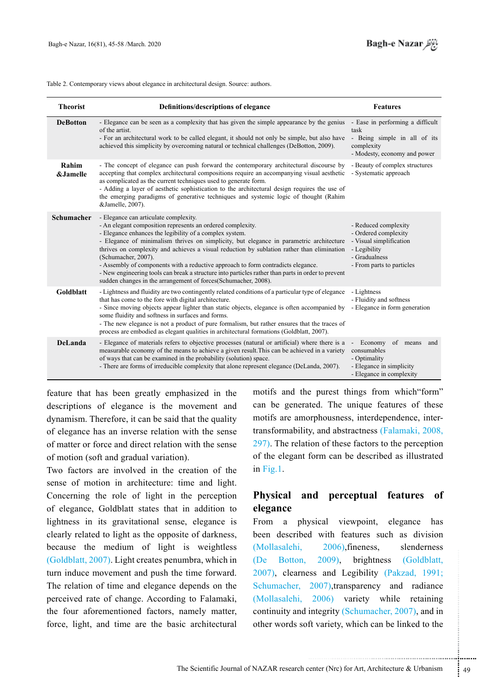

Table 2. Contemporary views about elegance in architectural design. Source: authors.

| <b>Theorist</b>   | Definitions/descriptions of elegance                                                                                                                                                                                                                                                                                                                                                                                                                                                                                                                                                                                                        | <b>Features</b>                                                                                                                       |
|-------------------|---------------------------------------------------------------------------------------------------------------------------------------------------------------------------------------------------------------------------------------------------------------------------------------------------------------------------------------------------------------------------------------------------------------------------------------------------------------------------------------------------------------------------------------------------------------------------------------------------------------------------------------------|---------------------------------------------------------------------------------------------------------------------------------------|
| <b>DeBotton</b>   | - Elegance can be seen as a complexity that has given the simple appearance by the genius<br>of the artist.<br>- For an architectural work to be called elegant, it should not only be simple, but also have<br>achieved this simplicity by overcoming natural or technical challenges (DeBotton, 2009).                                                                                                                                                                                                                                                                                                                                    | - Ease in performing a difficult<br>task<br>- Being simple in all of its<br>complexity<br>- Modesty, economy and power                |
| Rahim<br>&Jamelle | - The concept of elegance can push forward the contemporary architectural discourse by<br>accepting that complex architectural compositions require an accompanying visual aesthetic<br>as complicated as the current techniques used to generate form.<br>- Adding a layer of aesthetic sophistication to the architectural design requires the use of<br>the emerging paradigms of generative techniques and systemic logic of thought (Rahim<br>&Jamelle, 2007).                                                                                                                                                                         | - Beauty of complex structures<br>- Systematic approach                                                                               |
| <b>Schumacher</b> | - Elegance can articulate complexity.<br>- An elegant composition represents an ordered complexity.<br>- Elegance enhances the legibility of a complex system.<br>- Elegance of minimalism thrives on simplicity, but elegance in parametric architecture<br>thrives on complexity and achieves a visual reduction by sublation rather than elimination<br>(Schumacher, 2007).<br>- Assembly of components with a reductive approach to form contradicts elegance.<br>- New engineering tools can break a structure into particles rather than parts in order to prevent<br>sudden changes in the arrangement of forces (Schumacher, 2008). | - Reduced complexity<br>- Ordered complexity<br>- Visual simplification<br>- Legibility<br>- Gradualness<br>- From parts to particles |
| Goldblatt         | - Lightness and fluidity are two contingently related conditions of a particular type of elegance<br>that has come to the fore with digital architecture.<br>- Since moving objects appear lighter than static objects, elegance is often accompanied by<br>some fluidity and softness in surfaces and forms.<br>- The new elegance is not a product of pure formalism, but rather ensures that the traces of<br>process are embodied as elegant qualities in architectural formations (Goldblatt, 2007).                                                                                                                                   | - Lightness<br>- Fluidity and softness<br>- Elegance in form generation                                                               |
| DeLanda           | - Elegance of materials refers to objective processes (natural or artificial) where there is a<br>measurable economy of the means to achieve a given result. This can be achieved in a variety<br>of ways that can be examined in the probability (solution) space.<br>- There are forms of irreducible complexity that alone represent elegance (DeLanda, 2007).                                                                                                                                                                                                                                                                           | - Economy of means<br>and<br>consumables<br>- Optimality<br>- Elegance in simplicity<br>- Elegance in complexity                      |

feature that has been greatly emphasized in the descriptions of elegance is the movement and dynamism. Therefore, it can be said that the quality of elegance has an inverse relation with the sense of matter or force and direct relation with the sense of motion (soft and gradual variation).

Two factors are involved in the creation of the sense of motion in architecture: time and light. Concerning the role of light in the perception of elegance, Goldblatt states that in addition to lightness in its gravitational sense, elegance is clearly related to light as the opposite of darkness, because the medium of light is weightless  $i$  (Goldblatt, 2007). Light creates penumbra, which in turn induce movement and push the time forward. The relation of time and elegance depends on the perceived rate of change. According to Falamaki, the four aforementioned factors, namely matter, force, light, and time are the basic architectural

motifs and the purest things from which form" can be generated. The unique features of these transformability, and abstractness (Falamaki, 2008, motifs are amorphousness, interdependence, inter- $297$ ). The relation of these factors to the perception of the elegant form can be described as illustrated in Fig.  $1$ .

# **Physical and perceptual features of elegance**

2009), brightness (Goldblatt,<br>sss and Legibility (Pakzad, 1991;<br>2007),transparency and radiance<br>2006) variety while retaining<br>integrity (Schumacher, 2007), and in<br>fit variety, which can be linked to the<br>tenter (Nrc) for Ar From a physical viewpoint, elegance has been described with features such as division  $(Mollasalehi, 2006)$ , fineness, slenderness  $(De$  Botton, 2009), brightness  $(Goldblatt,$ 2007), clearness and Legibility (Pakzad, 1991; Schumacher, 2007),transparency and radiance (Mollasalehi, 2006) variety while retaining continuity and integrity (Schumacher, 2007), and in other words soft variety, which can be linked to the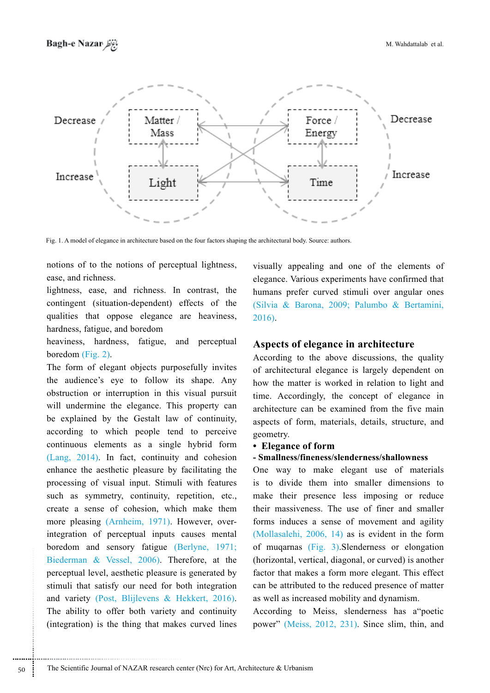

Fig. 1. A model of elegance in architecture based on the four factors shaping the architectural body. Source: authors.

notions of to the notions of perceptual lightness, ease, and richness.

lightness, ease, and richness. In contrast, the contingent (situation-dependent) effects of the qualities that oppose elegance are heaviness, hardness, fatigue, and boredom

heaviness, hardness, fatigue, and perceptual boredom  $(Fig, 2)$ .

The form of elegant objects purposefully invites the audience's eye to follow its shape. Any obstruction or interruption in this visual pursuit will undermine the elegance. This property can be explained by the Gestalt law of continuity, according to which people tend to perceive continuous elements as a single hybrid form  $(Lang, 2014)$ . In fact, continuity and cohesion enhance the aesthetic pleasure by facilitating the processing of visual input. Stimuli with features such as symmetry, continuity, repetition, etc., create a sense of cohesion, which make them integration of perceptual inputs causes mental more pleasing (Arnheim, 1971). However, overboredom and sensory fatigue (Berlyne, 1971; Biederman & Vessel,  $2006$ ). Therefore, at the perceptual level, aesthetic pleasure is generated by stimuli that satisfy our need for both integration and variety (Post, Blijlevens & Hekkert, 2016). The ability to offer both variety and continuity (integration) is the thing that makes curved lines visually appealing and one of the elements of elegance. Various experiments have confirmed that humans prefer curved stimuli over angular ones (Silvia & Barona, 2009; Palumbo & Bertamini, 2016).

### **Aspects of elegance in architecture**

According to the above discussions, the quality of architectural elegance is largely dependent on how the matter is worked in relation to light and time. Accordingly, the concept of elegance in architecture can be examined from the five main aspects of form, materials, details, structure, and .geometry

#### **form form**

#### **shallowness/slenderness/fineness/Smallness -**

One way to make elegant use of materials is to divide them into smaller dimensions to make their presence less imposing or reduce their massiveness. The use of finer and smaller forms induces a sense of movement and agility (Mollasalehi,  $2006$ , 14) as is evident in the form of mugarnas  $(Fig. 3)$ . Slenderness or elongation (horizontal, vertical, diagonal, or curved) is another factor that makes a form more elegant. This effect can be attributed to the reduced presence of matter as well as increased mobility and dynamism.

According to Meiss, slenderness has a poetic power" (Meiss, 2012, 231). Since slim, thin, and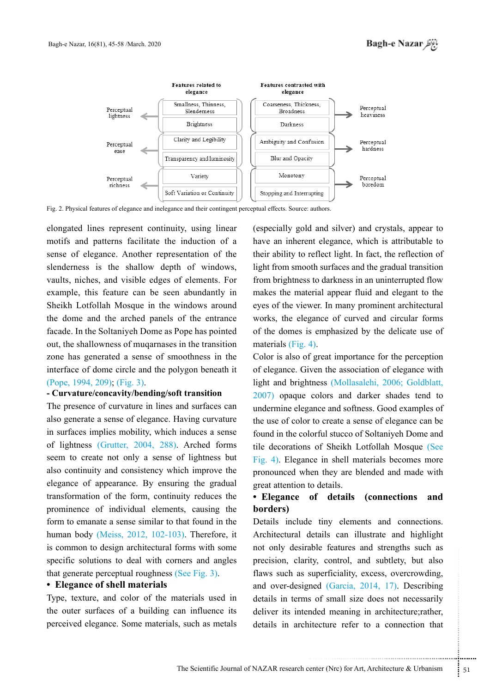

Fig. 2. Physical features of elegance and inelegance and their contingent perceptual effects. Source: authors.

elongated lines represent continuity, using linear motifs and patterns facilitate the induction of a sense of elegance. Another representation of the slenderness is the shallow depth of windows, vaults, niches, and visible edges of elements. For example, this feature can be seen abundantly in Sheikh Lotfollah Mosque in the windows around the dome and the arched panels of the entrance facade. In the Soltaniyeh Dome as Pope has pointed out, the shallowness of mugarnases in the transition zone has generated a sense of smoothness in the interface of dome circle and the polygon beneath it (Pope, 1994, 209); (Fig. 3).

#### **- Curvature/concavity/bending/soft transition**

The presence of curvature in lines and surfaces can also generate a sense of elegance. Having curvature in surfaces implies mobility, which induces a sense of lightness (Grutter, 2004, 288). Arched forms seem to create not only a sense of lightness but also continuity and consistency which improve the elegance of appearance. By ensuring the gradual transformation of the form, continuity reduces the prominence of individual elements, causing the form to emanate a sense similar to that found in the human body (Meiss,  $2012$ ,  $102-103$ ). Therefore, it is common to design architectural forms with some specific solutions to deal with corners and angles that generate perceptual roughness (See Fig. 3).

### **• Elegance of shell materials**

Type, texture, and color of the materials used in the outer surfaces of a building can influence its perceived elegance. Some materials, such as metals

(especially gold and silver) and crystals, appear to have an inherent elegance, which is attributable to their ability to reflect light. In fact, the reflection of light from smooth surfaces and the gradual transition from brightness to darkness in an uninterrupted flow makes the material appear fluid and elegant to the eyes of the viewer. In many prominent architectural works, the elegance of curved and circular forms of the domes is emphasized by the delicate use of materials  $(Fig. 4)$ .

Color is also of great importance for the perception of elegance. Given the association of elegance with light and brightness (Mollasalehi, 2006; Goldblatt,  $2007$ ) opaque colors and darker shades tend to undermine elegance and softness. Good examples of the use of color to create a sense of elegance can be found in the colorful stucco of Soltaniyeh Dome and tile decorations of Sheikh Lotfollah Mosque (See Fig. 4). Elegance in shell materials becomes more pronounced when they are blended and made with great attention to details.

## **• Elegance of details (connections and (borders**

The summer was considered into the state of the substrate of the superficiality, excess, overcrowding, and (Garcia, 2014, 17). Describing so of small size does not necessarily indeed meaning in architecture; rather, itectu Details include tiny elements and connections. Architectural details can illustrate and highlight not only desirable features and strengths such as precision, clarity, control, and subtlety, but also flaws such as superficiality, excess, overcrowding, and over-designed  $(Garcia, 2014, 17)$ . Describing details in terms of small size does not necessarily deliver its intended meaning in architecture; rather, details in architecture refer to a connection that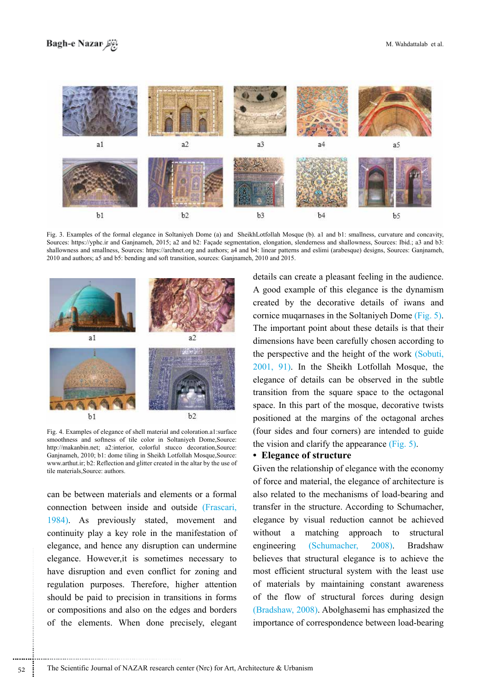

Fig. 3. Examples of the formal elegance in Soltaniyeh Dome (a) and SheikhLotfollah Mosque (b). a1 and b1: smallness, curvature and concavity, Sources: https://yphc.ir and Ganjnameh, 2015; a2 and b2: Façade segmentation, elongation, slenderness and shallowness, Sources: Ibid.; a3 and b3: shallowness and smallness, Sources: https://archnet.org and authors; a4 and b4: linear patterns and eslimi (arabesque) designs, Sources: Ganjnameh,  $2010$  and authors; a 5 and b 5: bending and soft transition, sources: Ganjnameh,  $2010$  and  $2015$ .



Fig. 4. Examples of elegance of shell material and coloration al:surface smoothness and softness of tile color in Soltaniyeh Dome, Source: http://makanbin.net; a2:interior, colorful stucco decoration, Source: Ganjnameh, 2010; b1: dome tiling in Sheikh Lotfollah Mosque,Source: www.arthut.ir; b2: Reflection and glitter created in the altar by the use of tile materials Source: authors

can be between materials and elements or a formal connection between inside and outside (Frascari, 1984). As previously stated, movement and continuity play a key role in the manifestation of elegance, and hence any disruption can undermine elegance. However, it is sometimes necessary to have disruption and even conflict for zoning and regulation purposes. Therefore, higher attention should be paid to precision in transitions in forms or compositions and also on the edges and borders of the elements. When done precisely, elegant details can create a pleasant feeling in the audience. A good example of this elegance is the dynamism created by the decorative details of iwans and cornice muqarnases in the Soltaniyeh Dome (Fig. 5). The important point about these details is that their dimensions have been carefully chosen according to the perspective and the height of the work (Sobuti,  $2001, 91$ ). In the Sheikh Lotfollah Mosque, the elegance of details can be observed in the subtle transition from the square space to the octagonal space. In this part of the mosque, decorative twists positioned at the margins of the octagonal arches (four sides and four corners) are intended to guide the vision and clarify the appearance  $(Fig. 5)$ .

### **• Elegance of structure**

Given the relationship of elegance with the economy of force and material, the elegance of architecture is also related to the mechanisms of load-bearing and transfer in the structure. According to Schumacher, elegance by visual reduction cannot be achieved without a matching approach to structural engineering (Schumacher, 2008). Bradshaw believes that structural elegance is to achieve the most efficient structural system with the least use of materials by maintaining constant awareness of the flow of structural forces during design  $(Bradshaw, 2008)$ . Abolghasemi has emphasized the importance of correspondence between load-bearing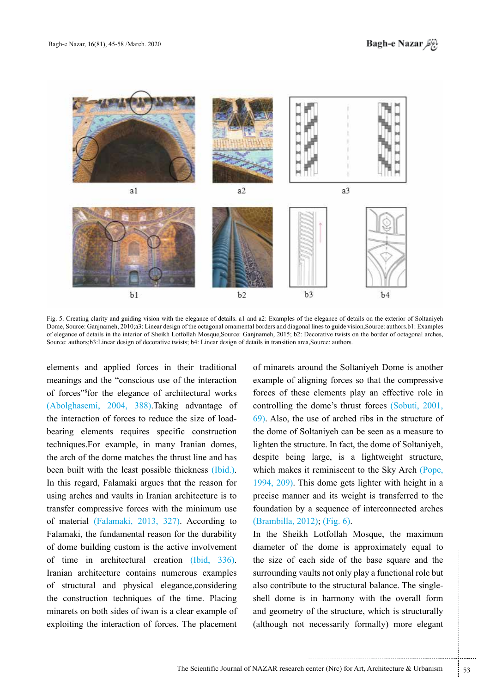$h<sub>3</sub>$  $b<sub>2</sub>$  $b<sub>1</sub>$  $b4$ Fig. 5. Creating clarity and guiding vision with the elegance of details. a1 and a2: Examples of the elegance of details on the exterior of Soltaniyeh Dome, Source: Ganjnameh, 2010;a3: Linear design of the octagonal ornamental borders and diagonal lines to guide vision, Source: authors b1: Examples of elegance of details in the interior of Sheikh Lotfollah Mosque,Source: Ganjnameh, 2015; b2: Decorative twists on the border of octagonal arches,

Source: authors : b3: Linear design of decorative twists; b4: Linear design of details in transition area Source: authors :

elements and applied forces in their traditional meanings and the "conscious use of the interaction" of forces"<sup>8</sup> for the elegance of architectural works  $(Abolghasemi, 2004, 388)$ .Taking advantage of bearing elements requires specific construction the interaction of forces to reduce the size of loadtechniques. For example, in many Iranian domes, the arch of the dome matches the thrust line and has been built with the least possible thickness (Ibid.). In this regard, Falamaki argues that the reason for using arches and vaults in Iranian architecture is to transfer compressive forces with the minimum use of material (Falamaki, 2013, 327). According to Falamaki, the fundamental reason for the durability of dome building custom is the active involvement of time in architectural creation  $(Ibid, 336)$ . Iranian architecture contains numerous examples of structural and physical elegance, considering the construction techniques of the time. Placing minarets on both sides of iwan is a clear example of exploiting the interaction of forces. The placement

of minarets around the Soltaniyeh Dome is another example of aligning forces so that the compressive forces of these elements play an effective role in controlling the dome's thrust forces (Sobuti, 2001,  $(69)$ . Also, the use of arched ribs in the structure of the dome of Soltaniyeh can be seen as a measure to lighten the structure. In fact, the dome of Soltaniyeh, despite being large, is a lightweight structure, which makes it reminiscent to the Sky Arch (Pope, 1994,  $209$ ). This dome gets lighter with height in a precise manner and its weight is transferred to the foundation by a sequence of interconnected arches  $(Brambilla, 2012)$ ;  $(Fig. 6)$ .

ch side of the base square and the<br>ults not only play a functional role but<br>to the structural balance. The single-<br>in harmony with the overall form<br>of the structure, which is structurally<br>necessarily formally) more elegant In the Sheikh Lotfollah Mosque, the maximum diameter of the dome is approximately equal to the size of each side of the base square and the surrounding vaults not only play a functional role but shell dome is in harmony with the overall form also contribute to the structural balance. The singleand geometry of the structure, which is structurally (although not necessarily formally) more elegant

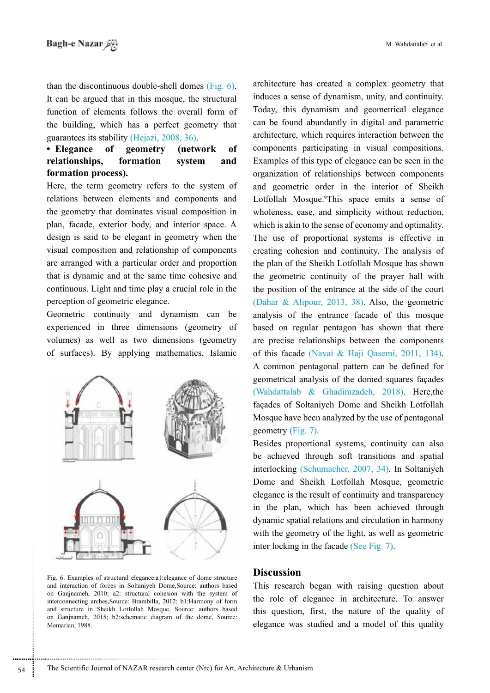than the discontinuous double-shell domes  $(Fig. 6)$ . It can be argued that in this mosque, the structural function of elements follows the overall form of the building, which has a perfect geometry that guarantees its stability (Hejazi, 2008, 36).

## • Elegance of geometry (network of relationships, formation system and formation process).

Here, the term geometry refers to the system of relations between elements and components and the geometry that dominates visual composition in plan, facade, exterior body, and interior space. A design is said to be elegant in geometry when the visual composition and relationship of components are arranged with a particular order and proportion that is dynamic and at the same time cohesive and continuous. Light and time play a crucial role in the perception of geometric elegance.

Geometric continuity and dynamism can be experienced in three dimensions (geometry of volumes) as well as two dimensions (geometry of surfaces). By applying mathematics, Islamic



Fig. 6. Examples of structural elegance.a1:elegance of dome structure and interaction of forces in Soltaniyeh Dome, Source: authors based on Ganjnameh, 2010; a2: structural cohesion with the system of interconnecting arches Source: Brambilla, 2012; b1: Harmony of form and structure in Sheikh Lotfollah Mosque, Source: authors based on Ganjnameh, 2015; b2:schematic diagram of the dome, Source: Memarian, 1988.

architecture has created a complex geometry that induces a sense of dynamism, unity, and continuity. Today, this dynamism and geometrical elegance can be found abundantly in digital and parametric architecture, which requires interaction between the components participating in visual compositions. Examples of this type of elegance can be seen in the organization of relationships between components and geometric order in the interior of Sheikh Lotfollah Mosque.<sup>9</sup>This space emits a sense of wholeness, ease, and simplicity without reduction, which is akin to the sense of economy and optimality. The use of proportional systems is effective in creating cohesion and continuity. The analysis of the plan of the Sheikh Lotfollah Mosque has shown the geometric continuity of the prayer hall with the position of the entrance at the side of the court (Dahar & Alipour, 2013, 38). Also, the geometric analysis of the entrance facade of this mosque based on regular pentagon has shown that there are precise relationships between the components of this facade (Navai & Haji Qasemi, 2011, 134). A common pentagonal pattern can be defined for geometrical analysis of the domed squares façades (Wahdattalab & Ghadimzadeh,  $2018$ ). Here the facades of Soltaniyeh Dome and Sheikh Lotfollah Mosque have been analyzed by the use of pentagonal geometry  $(Fig. 7)$ .

Besides proportional systems, continuity can also be achieved through soft transitions and spatial interlocking (Schumacher, 2007, 34). In Soltaniyeh Dome and Sheikh Lotfollah Mosque, geometric elegance is the result of continuity and transparency in the plan, which has been achieved through dynamic spatial relations and circulation in harmony with the geometry of the light, as well as geometric inter locking in the facade (See Fig.  $7$ ).

### **Discussion**

This research began with raising question about the role of elegance in architecture. To answer this question, first, the nature of the quality of elegance was studied and a model of this quality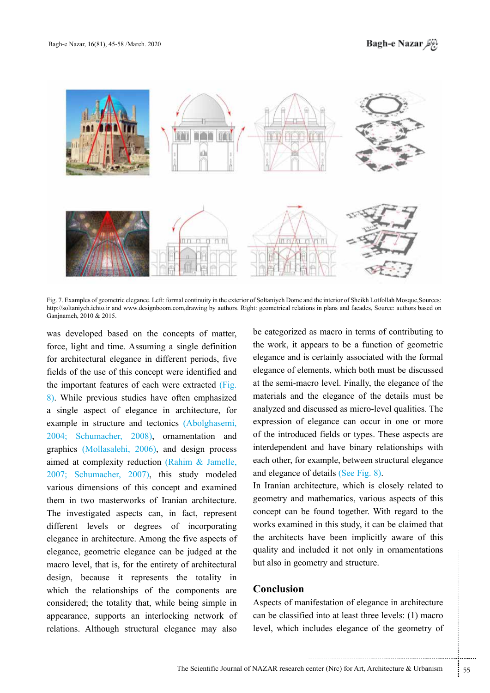

Fig. 7. Examples of geometric elegance. Left: formal continuity in the exterior of Soltaniyeh Dome and the interior of Sheikh Lotfollah Mosque, Sources: http://soltaniyeh.ichto.ir and www.designboom.com.drawing by authors. Right: geometrical relations in plans and facades, Source: authors based on Ganjnameh, 2010 & 2015.

was developed based on the concepts of matter, force, light and time. Assuming a single definition for architectural elegance in different periods, five fields of the use of this concept were identified and the important features of each were extracted (Fig. 8). While previous studies have often emphasized a single aspect of elegance in architecture, for example in structure and tectonics (Abolghasemi, 2004; Schumacher, 2008), ornamentation and graphics (Mollasalehi, 2006), and design process aimed at complexity reduction (Rahim  $\&$  Jamelle,  $2007$ ; Schumacher, 2007), this study modeled various dimensions of this concept and examined them in two masterworks of Iranian architecture. The investigated aspects can, in fact, represent different levels or degrees of incorporating elegance in architecture. Among the five aspects of elegance, geometric elegance can be judged at the macro level, that is, for the entirety of architectural design, because it represents the totality in which the relationships of the components are considered; the totality that, while being simple in appearance, supports an interlocking network of relations. Although structural elegance may also be categorized as macro in terms of contributing to the work, it appears to be a function of geometric elegance and is certainly associated with the formal elegance of elements, which both must be discussed at the semi-macro-level. Finally, the elegance of the materials and the elegance of the details must be analyzed and discussed as micro-level qualities. The expression of elegance can occur in one or more of the introduced fields or types. These aspects are interdependent and have binary relationships with each other, for example, between structural elegance and elegance of details (See Fig. 8).

In Iranian architecture, which is closely related to geometry and mathematics, various aspects of this concept can be found together. With regard to the works examined in this study, it can be claimed that the architects have been implicitly aware of this quality and included it not only in ornamentations but also in geometry and structure.

## **Conclusion**

The metry and structure.<br>
infestation of elegance in architecture<br>
d into at least three levels: (1) macro<br>
cludes elegance of the geometry of<br>
enter (Nrc) for Art, Architecture & Urbanism<br>
55 Aspects of manifestation of elegance in architecture can be classified into at least three levels:  $(1)$  macro level, which includes elegance of the geometry of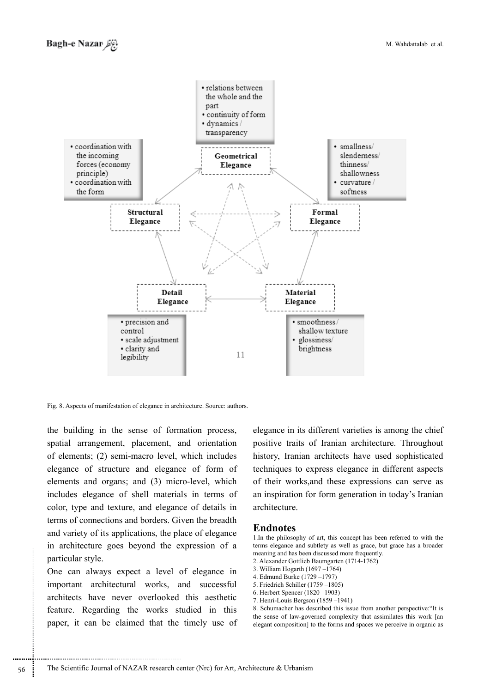

Fig. 8. Aspects of manifestation of elegance in architecture. Source: authors.

the building in the sense of formation process, spatial arrangement, placement, and orientation of elements;  $(2)$  semi-macro-level, which includes elegance of structure and elegance of form of elements and organs; and  $(3)$  micro-level, which includes elegance of shell materials in terms of color, type and texture, and elegance of details in terms of connections and borders. Given the breadth and variety of its applications, the place of elegance in architecture goes beyond the expression of a particular style.

One can always expect a level of elegance in important architectural works, and successful architects have never overlooked this aesthetic feature. Regarding the works studied in this paper, it can be claimed that the timely use of

............................................................

elegance in its different varieties is among the chief positive traits of Iranian architecture. Throughout history, Iranian architects have used sophisticated techniques to express elegance in different aspects of their works, and these expressions can serve as an inspiration for form generation in today's Iranian .architecture

### **Endnotes**

1. In the philosophy of art, this concept has been referred to with the terms elegance and subtlety as well as grace, but grace has a broader meaning and has been discussed more frequently.

- 2. Alexander Gottlieb Baumgarten (1714-1762)
- 3. William Hogarth  $(1697 1764)$
- 4. Edmund Burke (1729–1797)
- 5. Friedrich Schiller  $(1759 1805)$
- 6. Herbert Spencer (1820–1903)
- 7. Henri-Louis Bergson  $(1859 1941)$

8. Schumacher has described this issue from another perspective: "It is the sense of law-governed complexity that assimilates this work [an elegant composition] to the forms and spaces we perceive in organic as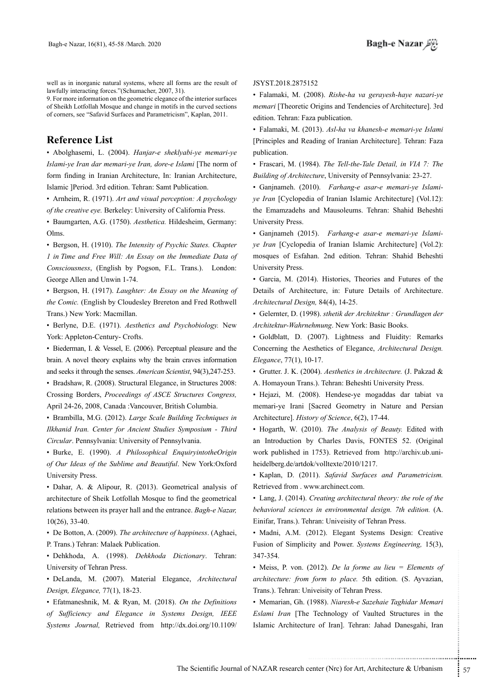well as in inorganic natural systems, where all forms are the result of lawfully interacting forces."(Schumacher, 2007, 31).

9. For more information on the geometric elegance of the interior surfaces of Sheikh Lotfollah Mosque and change in motifs in the curved sections of corners, see "Safavid Surfaces and Parametricism", Kaplan, 2011.

## **List Reference**

• Abolghasemi, L. (2004). *Hanjar-e sheklyabi-ye memari-ye* Islami-ye Iran dar memari-ye Iran, dore-e Islami [The norm of form finding in Iranian Architecture, In: Iranian Architecture, Islamic ]Period. 3rd edition. Tehran: Samt Publication.

• Arnheim, R. (1971). *Art and visual perception: A psychology* of the creative eye. Berkeley: University of California Press.

• Baumgarten, A.G. (1750). *Aesthetica*. Hildesheim. Germany: .Olms

• Bergson, H. (1910). The Intensity of Psychic States. Chapter *I* in Time and Free Will: An Essay on the Immediate Data of Consciousness, (English by Pogson, F.L. Trans.). London: George Allen and Unwin 1-74.

• Bergson, H. (1917). *Laughter: An Essay on the Meaning of the Comic.* (English by Cloudesley Brereton and Fred Rothwell) Trans.) New York: Macmillan.

• Berlyne, D.E. (1971). Aesthetics and Psychobiology. New York: Appleton-Century- Crofts.

 $\bullet$  Biederman, I. & Vessel, E. (2006). Perceptual pleasure and the brain. A novel theory explains why the brain craves information and seeks it through the senses. *American Scientist*, 94(3), 247-253.

• Bradshaw, R. (2008). Structural Elegance, in Structures 2008: Crossing Borders, Proceedings of ASCE Structures Congress, April 24-26, 2008, Canada :Vancouver, British Columbia.

• Brambilla, M.G. (2012). Large Scale Building Techniques in *Ilkhanid Iran. Center for Ancient Studies Symposium - Third* Circular. Pennsylvania: University of Pennsylvania.

• Burke, E. (1990). *A Philosophical EnquiryintotheOrigin* of Our Ideas of the Sublime and Beautiful. New York:Oxford University Press.

• Dahar, A. & Alipour, R. (2013). Geometrical analysis of architecture of Sheik Lotfollah Mosque to find the geometrical relations between its prayer hall and the entrance. *Bagh-e Nazar*,  $10(26)$ , 33-40.

• De Botton, A. (2009). The architecture of happiness. (Aghaei, P. Trans.) Tehran: Malaek Publication.

· Dehkhoda, A. (1998). *Dehkhoda Dictionary*. Tehran: University of Tehran Press.

• DeLanda, M. (2007). Material Elegance, Architectural Design, *Elegance*, 77(1), 18-23.

• Efatmaneshnik, M. & Ryan, M. (2018). On the Definitions of Sufficiency and Elegance in Systems Design, IEEE Systems Journal, Retrieved from http://dx.doi.org/10.1109/ JSYST.2018.2875152

• Falamaki, M. (2008). Rishe-ha va gerayesh-haye nazari-ye memari [Theoretic Origins and Tendencies of Architecture], 3rd edition. Tehran: Faza publication.

• Falamaki, M. (2013). Asl-ha va khanesh-e memari-ye Islami [Principles and Reading of Iranian Architecture]. Tehran: Faza publication.

• Frascari, M. (1984). *The Tell-the-Tale Detail, in VIA 7: The* Building of Architecture, University of Pennsylvania: 23-27.

ve Iran [Cyclopedia of Iranian Islamic Architecture] (Vol.12): • Ganjnameh. (2010). Farhang-e asar-e memari-ve Islamithe Emamzadehs and Mausoleums. Tehran: Shahid Beheshti University Press.

• Ganjnameh (2015). *Farhang-e asar-e-memari-ye Islami-ye-Iran* [Cyclopedia of Iranian Islamic Architecture] (Vol.2): mosques of Esfahan. 2nd edition. Tehran: Shahid Beheshti University Press.

• Garcia, M. (2014). Histories, Theories and Futures of the Details of Architecture, in: Future Details of Architecture. Architectural Design, 84(4), 14-25.

• Gelernter, D. (1998). sthetik der Architektur : Grundlagen der Architektur-Wahrnehmung. New York: Basic Books.

· Goldblatt, D. (2007). Lightness and Fluidity: Remarks Concerning the Aesthetics of Elegance, Architectural Design. Elegance, 77(1), 10-17.

• Grutter. J. K. (2004). Aesthetics in Architecture. (J. Pakzad & A. Homayoun Trans.). Tehran: Beheshti University Press.

• Hejazi, M. (2008). Hendese-ye mogaddas dar tabiat va memari-ye Irani [Sacred Geometry in Nature and Persian Architecture]. History of Science, 6(2), 17-44.

• Hogarth, W. (2010). The Analysis of Beauty. Edited with an Introduction by Charles Davis, FONTES 52. (Original work published in 1753). Retrieved from http://archiv.ub.uni-<br>heidelberg.de/artdok/volltexte/2010/1217.

• Kaplan, D. (2011). Safavid Surfaces and Parametricism. Retrieved from . www.archinect.com.

**•** Lang, J. (2014). Creating architectural theory: the role of the behavioral sciences in environmental design. 7th edition. (A. Einifar, Trans.). Tehran: Univeisity of Tehran Press.

• Madni, A.M. (2012). Elegant Systems Design: Creative Fusion of Simplicity and Power. Systems Engineering, 15(3), 347-354.

(2012). *De la forme au lieu* = *Elements of*<br>form to place. 5th edition. (S. Ayvazian,<br>niveisity of Tehran Press.<br>1988). *Niaresh-e Sazehaie Taghidar Memari*<br>rechnology of Vaulted Structures in the<br>net of Iran]. Tehran: • Meiss, P. von. (2012). *De la forme au lieu = Elements of* architecture: from form to place. 5th edition. (S. Ayvazian, Trans.). Tehran: Univeisity of Tehran Press.

• Memarian, Gh. (1988). Niaresh-e Sazehaie Taghidar Memari Eslami Iran [The Technology of Vaulted Structures in the Islamic Architecture of Iran]. Tehran: Jahad Danesgahi, Iran